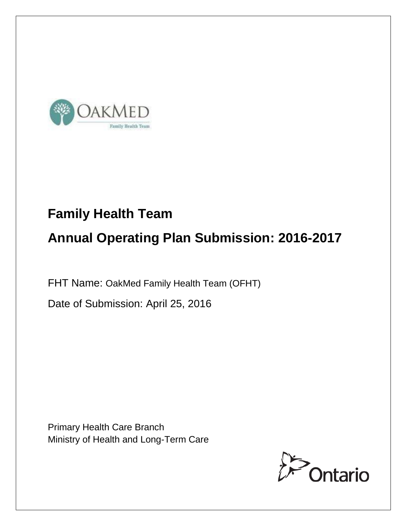

# **Family Health Team Annual Operating Plan Submission: 2016-2017**

FHT Name: OakMed Family Health Team (OFHT)

Date of Submission: April 25, 2016

Primary Health Care Branch Ministry of Health and Long-Term Care

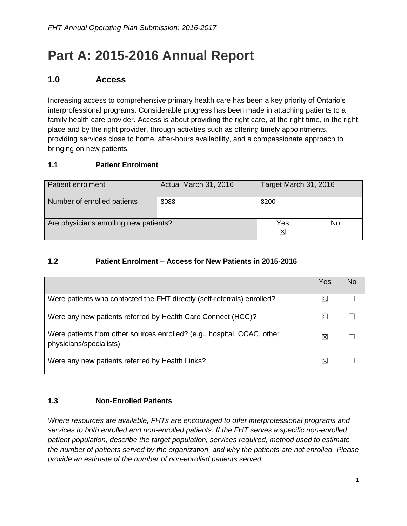## **Part A: 2015-2016 Annual Report**

## **1.0 Access**

Increasing access to comprehensive primary health care has been a key priority of Ontario's interprofessional programs. Considerable progress has been made in attaching patients to a family health care provider. Access is about providing the right care, at the right time, in the right place and by the right provider, through activities such as offering timely appointments, providing services close to home, after-hours availability, and a compassionate approach to bringing on new patients.

#### **1.1 Patient Enrolment**

| Patient enrolment                      | Actual March 31, 2016 | Target March 31, 2016 |  |
|----------------------------------------|-----------------------|-----------------------|--|
| Number of enrolled patients            | 8088                  | 8200                  |  |
| Are physicians enrolling new patients? | Yes<br>⊠              | No                    |  |

#### **1.2 Patient Enrolment – Access for New Patients in 2015-2016**

|                                                                                                    | Yes         | No |
|----------------------------------------------------------------------------------------------------|-------------|----|
| Were patients who contacted the FHT directly (self-referrals) enrolled?                            | $\boxtimes$ |    |
| Were any new patients referred by Health Care Connect (HCC)?                                       | $\boxtimes$ |    |
| Were patients from other sources enrolled? (e.g., hospital, CCAC, other<br>physicians/specialists) | $\boxtimes$ |    |
| Were any new patients referred by Health Links?                                                    | $\bowtie$   |    |

#### **1.3 Non-Enrolled Patients**

*Where resources are available, FHTs are encouraged to offer interprofessional programs and services to both enrolled and non-enrolled patients. If the FHT serves a specific non-enrolled patient population, describe the target population, services required, method used to estimate the number of patients served by the organization, and why the patients are not enrolled. Please provide an estimate of the number of non-enrolled patients served.*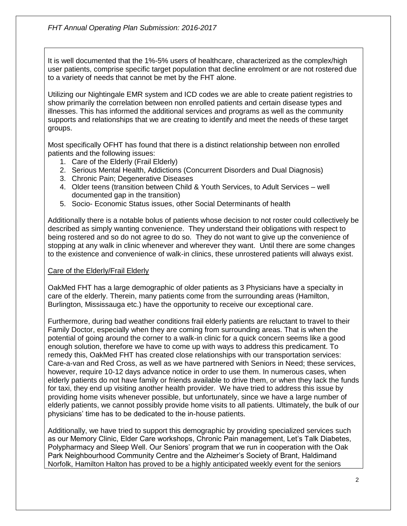It is well documented that the 1%-5% users of healthcare, characterized as the complex/high user patients, comprise specific target population that decline enrolment or are not rostered due to a variety of needs that cannot be met by the FHT alone.

Utilizing our Nightingale EMR system and ICD codes we are able to create patient registries to show primarily the correlation between non enrolled patients and certain disease types and illnesses. This has informed the additional services and programs as well as the community supports and relationships that we are creating to identify and meet the needs of these target groups.

Most specifically OFHT has found that there is a distinct relationship between non enrolled patients and the following issues:

- 1. Care of the Elderly (Frail Elderly)
- 2. Serious Mental Health, Addictions (Concurrent Disorders and Dual Diagnosis)
- 3. Chronic Pain; Degenerative Diseases
- 4. Older teens (transition between Child & Youth Services, to Adult Services well documented gap in the transition)
- 5. Socio- Economic Status issues, other Social Determinants of health

Additionally there is a notable bolus of patients whose decision to not roster could collectively be described as simply wanting convenience. They understand their obligations with respect to being rostered and so do not agree to do so. They do not want to give up the convenience of stopping at any walk in clinic whenever and wherever they want. Until there are some changes to the existence and convenience of walk-in clinics, these unrostered patients will always exist.

#### Care of the Elderly/Frail Elderly

OakMed FHT has a large demographic of older patients as 3 Physicians have a specialty in care of the elderly. Therein, many patients come from the surrounding areas (Hamilton, Burlington, Mississauga etc.) have the opportunity to receive our exceptional care.

Furthermore, during bad weather conditions frail elderly patients are reluctant to travel to their Family Doctor, especially when they are coming from surrounding areas. That is when the potential of going around the corner to a walk-in clinic for a quick concern seems like a good enough solution, therefore we have to come up with ways to address this predicament. To remedy this, OakMed FHT has created close relationships with our transportation services: Care-a-van and Red Cross, as well as we have partnered with Seniors in Need; these services, however, require 10-12 days advance notice in order to use them. In numerous cases, when elderly patients do not have family or friends available to drive them, or when they lack the funds for taxi, they end up visiting another health provider. We have tried to address this issue by providing home visits whenever possible, but unfortunately, since we have a large number of elderly patients, we cannot possibly provide home visits to all patients. Ultimately, the bulk of our physicians' time has to be dedicated to the in-house patients.

Additionally, we have tried to support this demographic by providing specialized services such as our Memory Clinic, Elder Care workshops, Chronic Pain management, Let's Talk Diabetes, Polypharmacy and Sleep Well. Our Seniors' program that we run in cooperation with the Oak Park Neighbourhood Community Centre and the Alzheimer's Society of Brant, Haldimand Norfolk, Hamilton Halton has proved to be a highly anticipated weekly event for the seniors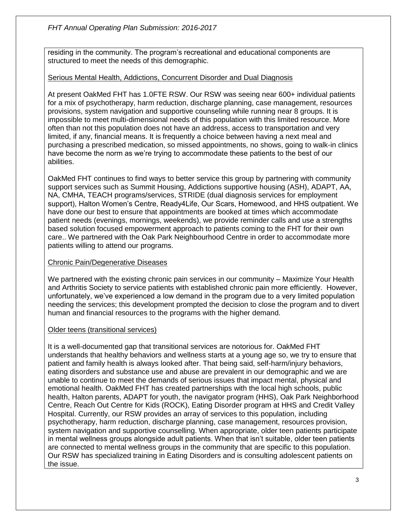residing in the community. The program's recreational and educational components are structured to meet the needs of this demographic.

#### Serious Mental Health, Addictions, Concurrent Disorder and Dual Diagnosis

At present OakMed FHT has 1.0FTE RSW. Our RSW was seeing near 600+ individual patients for a mix of psychotherapy, harm reduction, discharge planning, case management, resources provisions, system navigation and supportive counseling while running near 8 groups. It is impossible to meet multi-dimensional needs of this population with this limited resource. More often than not this population does not have an address, access to transportation and very limited, if any, financial means. It is frequently a choice between having a next meal and purchasing a prescribed medication, so missed appointments, no shows, going to walk-in clinics have become the norm as we're trying to accommodate these patients to the best of our abilities.

OakMed FHT continues to find ways to better service this group by partnering with community support services such as Summit Housing, Addictions supportive housing (ASH), ADAPT, AA, NA, CMHA, TEACH programs/services, STRIDE (dual diagnosis services for employment support), Halton Women's Centre, Ready4Life, Our Scars, Homewood, and HHS outpatient. We have done our best to ensure that appointments are booked at times which accommodate patient needs (evenings, mornings, weekends), we provide reminder calls and use a strengths based solution focused empowerment approach to patients coming to the FHT for their own care.. We partnered with the Oak Park Neighbourhood Centre in order to accommodate more patients willing to attend our programs.

#### Chronic Pain/Degenerative Diseases

We partnered with the existing chronic pain services in our community – Maximize Your Health and Arthritis Society to service patients with established chronic pain more efficiently. However, unfortunately, we've experienced a low demand in the program due to a very limited population needing the services; this development prompted the decision to close the program and to divert human and financial resources to the programs with the higher demand.

#### Older teens (transitional services)

It is a well-documented gap that transitional services are notorious for. OakMed FHT understands that healthy behaviors and wellness starts at a young age so, we try to ensure that patient and family health is always looked after. That being said, self-harm/injury behaviors, eating disorders and substance use and abuse are prevalent in our demographic and we are unable to continue to meet the demands of serious issues that impact mental, physical and emotional health. OakMed FHT has created partnerships with the local high schools, public health, Halton parents, ADAPT for youth, the navigator program (HHS), Oak Park Neighborhood Centre, Reach Out Centre for Kids (ROCK), Eating Disorder program at HHS and Credit Valley Hospital. Currently, our RSW provides an array of services to this population, including psychotherapy, harm reduction, discharge planning, case management, resources provision, system navigation and supportive counselling. When appropriate, older teen patients participate in mental wellness groups alongside adult patients. When that isn't suitable, older teen patients are connected to mental wellness groups in the community that are specific to this population. Our RSW has specialized training in Eating Disorders and is consulting adolescent patients on the issue.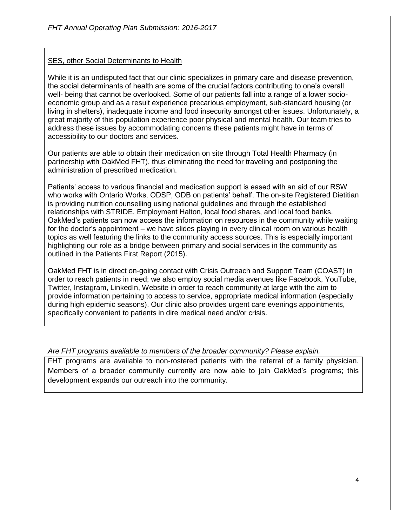#### SES, other Social Determinants to Health

While it is an undisputed fact that our clinic specializes in primary care and disease prevention, the social determinants of health are some of the crucial factors contributing to one's overall well- being that cannot be overlooked. Some of our patients fall into a range of a lower socioeconomic group and as a result experience precarious employment, sub-standard housing (or living in shelters), inadequate income and food insecurity amongst other issues. Unfortunately, a great majority of this population experience poor physical and mental health. Our team tries to address these issues by accommodating concerns these patients might have in terms of accessibility to our doctors and services.

Our patients are able to obtain their medication on site through Total Health Pharmacy (in partnership with OakMed FHT), thus eliminating the need for traveling and postponing the administration of prescribed medication.

Patients' access to various financial and medication support is eased with an aid of our RSW who works with Ontario Works, ODSP, ODB on patients' behalf. The on-site Registered Dietitian is providing nutrition counselling using national guidelines and through the established relationships with STRIDE, Employment Halton, local food shares, and local food banks. OakMed's patients can now access the information on resources in the community while waiting for the doctor's appointment – we have slides playing in every clinical room on various health topics as well featuring the links to the community access sources. This is especially important highlighting our role as a bridge between primary and social services in the community as outlined in the Patients First Report (2015).

OakMed FHT is in direct on-going contact with Crisis Outreach and Support Team (COAST) in order to reach patients in need; we also employ social media avenues like Facebook, YouTube, Twitter, Instagram, LinkedIn, Website in order to reach community at large with the aim to provide information pertaining to access to service, appropriate medical information (especially during high epidemic seasons). Our clinic also provides urgent care evenings appointments, specifically convenient to patients in dire medical need and/or crisis.

#### *Are FHT programs available to members of the broader community? Please explain.*

FHT programs are available to non-rostered patients with the referral of a family physician. Members of a broader community currently are now able to join OakMed's programs; this development expands our outreach into the community.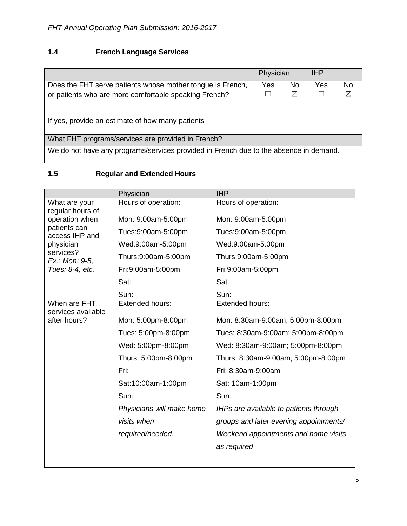*FHT Annual Operating Plan Submission: 2016-2017*

### **1.4 French Language Services**

|                                                                                       | Physician |           | <b>IHP</b> |     |  |  |  |
|---------------------------------------------------------------------------------------|-----------|-----------|------------|-----|--|--|--|
| Does the FHT serve patients whose mother tongue is French,                            | Yes       | <b>No</b> | Yes        | No. |  |  |  |
| or patients who are more comfortable speaking French?                                 |           | ⊠         |            | ⊠   |  |  |  |
| If yes, provide an estimate of how many patients                                      |           |           |            |     |  |  |  |
| What FHT programs/services are provided in French?                                    |           |           |            |     |  |  |  |
| We do not have any programs/services provided in French due to the absence in demand. |           |           |            |     |  |  |  |

### **1.5 Regular and Extended Hours**

|                                    | Physician                 | <b>IHP</b>                             |
|------------------------------------|---------------------------|----------------------------------------|
| What are your                      | Hours of operation:       | Hours of operation:                    |
| regular hours of<br>operation when | Mon: 9:00am-5:00pm        | Mon: 9:00am-5:00pm                     |
| patients can<br>access IHP and     | Tues:9:00am-5:00pm        | Tues:9:00am-5:00pm                     |
| physician                          | Wed:9:00am-5:00pm         | Wed:9:00am-5:00pm                      |
| services?<br>Ex.: Mon: 9-5,        | Thurs:9:00am-5:00pm       | Thurs:9:00am-5:00pm                    |
| Tues: 8-4, etc.                    | Fri:9:00am-5:00pm         | Fri:9:00am-5:00pm                      |
|                                    | Sat:                      | Sat:                                   |
|                                    | Sun:                      | Sun:                                   |
| When are FHT                       | <b>Extended hours:</b>    | Extended hours:                        |
| services available<br>after hours? | Mon: 5:00pm-8:00pm        | Mon: 8:30am-9:00am; 5:00pm-8:00pm      |
|                                    | Tues: 5:00pm-8:00pm       | Tues: 8:30am-9:00am; 5:00pm-8:00pm     |
|                                    | Wed: 5:00pm-8:00pm        | Wed: 8:30am-9:00am; 5:00pm-8:00pm      |
|                                    | Thurs: 5:00pm-8:00pm      | Thurs: 8:30am-9:00am; 5:00pm-8:00pm    |
|                                    | Fri:                      | Fri: 8:30am-9:00am                     |
|                                    | Sat:10:00am-1:00pm        | Sat: 10am-1:00pm                       |
|                                    | Sun:                      | Sun:                                   |
|                                    | Physicians will make home | IHPs are available to patients through |
|                                    | visits when               | groups and later evening appointments/ |
|                                    | required/needed.          | Weekend appointments and home visits   |
|                                    |                           | as required                            |
|                                    |                           |                                        |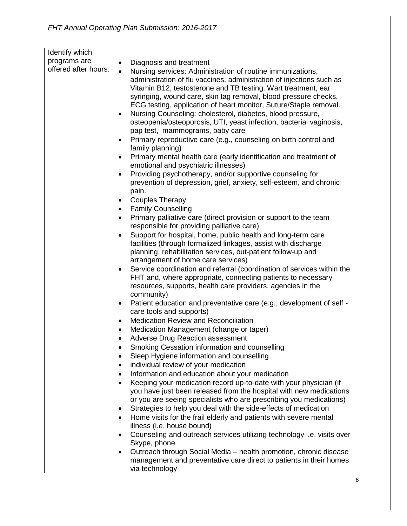| Identify which       |                                                                                                                                                                                                                                                                                                                                                                                                                                                                                                                                                                                                                                                                                                                                                                                                                                                |
|----------------------|------------------------------------------------------------------------------------------------------------------------------------------------------------------------------------------------------------------------------------------------------------------------------------------------------------------------------------------------------------------------------------------------------------------------------------------------------------------------------------------------------------------------------------------------------------------------------------------------------------------------------------------------------------------------------------------------------------------------------------------------------------------------------------------------------------------------------------------------|
| programs are         | Diagnosis and treatment<br>$\bullet$                                                                                                                                                                                                                                                                                                                                                                                                                                                                                                                                                                                                                                                                                                                                                                                                           |
| offered after hours: | Nursing services: Administration of routine immunizations,<br>$\bullet$<br>administration of flu vaccines, administration of injections such as<br>Vitamin B12, testosterone and TB testing. Wart treatment, ear<br>syringing, wound care, skin tag removal, blood pressure checks,<br>ECG testing, application of heart monitor, Suture/Staple removal.<br>Nursing Counseling: cholesterol, diabetes, blood pressure,<br>$\bullet$<br>osteopenia/osteoporosis, UTI, yeast infection, bacterial vaginosis,<br>pap test, mammograms, baby care<br>Primary reproductive care (e.g., counseling on birth control and<br>٠<br>family planning)<br>Primary mental health care (early identification and treatment of<br>$\bullet$<br>emotional and psychiatric illnesses)<br>Providing psychotherapy, and/or supportive counseling for<br>$\bullet$ |
|                      | prevention of depression, grief, anxiety, self-esteem, and chronic<br>pain.                                                                                                                                                                                                                                                                                                                                                                                                                                                                                                                                                                                                                                                                                                                                                                    |
|                      | <b>Couples Therapy</b><br>٠                                                                                                                                                                                                                                                                                                                                                                                                                                                                                                                                                                                                                                                                                                                                                                                                                    |
|                      | <b>Family Counselling</b><br>٠                                                                                                                                                                                                                                                                                                                                                                                                                                                                                                                                                                                                                                                                                                                                                                                                                 |
|                      | Primary palliative care (direct provision or support to the team<br>$\bullet$                                                                                                                                                                                                                                                                                                                                                                                                                                                                                                                                                                                                                                                                                                                                                                  |
|                      | responsible for providing palliative care)                                                                                                                                                                                                                                                                                                                                                                                                                                                                                                                                                                                                                                                                                                                                                                                                     |
|                      | Support for hospital, home, public health and long-term care<br>٠                                                                                                                                                                                                                                                                                                                                                                                                                                                                                                                                                                                                                                                                                                                                                                              |
|                      | facilities (through formalized linkages, assist with discharge<br>planning, rehabilitation services, out-patient follow-up and                                                                                                                                                                                                                                                                                                                                                                                                                                                                                                                                                                                                                                                                                                                 |
|                      | arrangement of home care services)                                                                                                                                                                                                                                                                                                                                                                                                                                                                                                                                                                                                                                                                                                                                                                                                             |
|                      | Service coordination and referral (coordination of services within the<br>٠                                                                                                                                                                                                                                                                                                                                                                                                                                                                                                                                                                                                                                                                                                                                                                    |
|                      | FHT and, where appropriate, connecting patients to necessary                                                                                                                                                                                                                                                                                                                                                                                                                                                                                                                                                                                                                                                                                                                                                                                   |
|                      | resources, supports, health care providers, agencies in the                                                                                                                                                                                                                                                                                                                                                                                                                                                                                                                                                                                                                                                                                                                                                                                    |
|                      | community)                                                                                                                                                                                                                                                                                                                                                                                                                                                                                                                                                                                                                                                                                                                                                                                                                                     |
|                      | Patient education and preventative care (e.g., development of self -<br>٠<br>care tools and supports)                                                                                                                                                                                                                                                                                                                                                                                                                                                                                                                                                                                                                                                                                                                                          |
|                      | <b>Medication Review and Reconciliation</b><br>٠                                                                                                                                                                                                                                                                                                                                                                                                                                                                                                                                                                                                                                                                                                                                                                                               |
|                      | Medication Management (change or taper)<br>$\bullet$                                                                                                                                                                                                                                                                                                                                                                                                                                                                                                                                                                                                                                                                                                                                                                                           |
|                      | Adverse Drug Reaction assessment                                                                                                                                                                                                                                                                                                                                                                                                                                                                                                                                                                                                                                                                                                                                                                                                               |
|                      | Smoking Cessation information and counselling                                                                                                                                                                                                                                                                                                                                                                                                                                                                                                                                                                                                                                                                                                                                                                                                  |
|                      | Sleep Hygiene information and counselling<br>٠<br>individual review of your medication                                                                                                                                                                                                                                                                                                                                                                                                                                                                                                                                                                                                                                                                                                                                                         |
|                      | ٠<br>Information and education about your medication<br>$\bullet$                                                                                                                                                                                                                                                                                                                                                                                                                                                                                                                                                                                                                                                                                                                                                                              |
|                      | Keeping your medication record up-to-date with your physician (if<br>$\bullet$                                                                                                                                                                                                                                                                                                                                                                                                                                                                                                                                                                                                                                                                                                                                                                 |
|                      | you have just been released from the hospital with new medications                                                                                                                                                                                                                                                                                                                                                                                                                                                                                                                                                                                                                                                                                                                                                                             |
|                      | or you are seeing specialists who are prescribing you medications)                                                                                                                                                                                                                                                                                                                                                                                                                                                                                                                                                                                                                                                                                                                                                                             |
|                      | Strategies to help you deal with the side-effects of medication<br>٠                                                                                                                                                                                                                                                                                                                                                                                                                                                                                                                                                                                                                                                                                                                                                                           |
|                      | Home visits for the frail elderly and patients with severe mental<br>$\bullet$<br>illness (i.e. house bound)                                                                                                                                                                                                                                                                                                                                                                                                                                                                                                                                                                                                                                                                                                                                   |
|                      | Counseling and outreach services utilizing technology i.e. visits over<br>٠<br>Skype, phone                                                                                                                                                                                                                                                                                                                                                                                                                                                                                                                                                                                                                                                                                                                                                    |
|                      | Outreach through Social Media - health promotion, chronic disease<br>$\bullet$<br>management and preventative care direct to patients in their homes                                                                                                                                                                                                                                                                                                                                                                                                                                                                                                                                                                                                                                                                                           |
|                      | via technology                                                                                                                                                                                                                                                                                                                                                                                                                                                                                                                                                                                                                                                                                                                                                                                                                                 |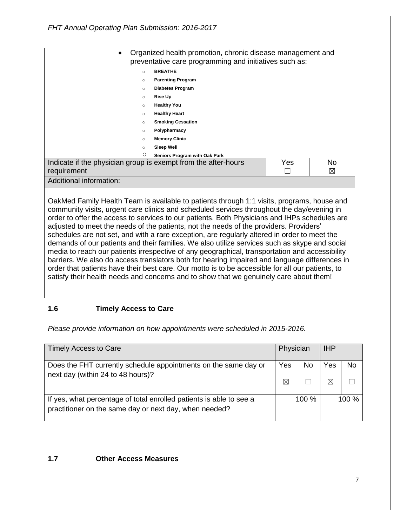*FHT Annual Operating Plan Submission: 2016-2017*

|                         | $\bullet$                                                                    | Organized health promotion, chronic disease management and<br>preventative care programming and initiatives such as:                                                                                                                                                                                                                                                                                                                                                                                                                                                                                                                                                                   |  |   |  |  |  |
|-------------------------|------------------------------------------------------------------------------|----------------------------------------------------------------------------------------------------------------------------------------------------------------------------------------------------------------------------------------------------------------------------------------------------------------------------------------------------------------------------------------------------------------------------------------------------------------------------------------------------------------------------------------------------------------------------------------------------------------------------------------------------------------------------------------|--|---|--|--|--|
|                         | $\circ$                                                                      | <b>BREATHE</b>                                                                                                                                                                                                                                                                                                                                                                                                                                                                                                                                                                                                                                                                         |  |   |  |  |  |
|                         | $\circ$                                                                      | <b>Parenting Program</b>                                                                                                                                                                                                                                                                                                                                                                                                                                                                                                                                                                                                                                                               |  |   |  |  |  |
|                         | $\circ$                                                                      | <b>Diabetes Program</b>                                                                                                                                                                                                                                                                                                                                                                                                                                                                                                                                                                                                                                                                |  |   |  |  |  |
|                         | $\circ$                                                                      | <b>Rise Up</b>                                                                                                                                                                                                                                                                                                                                                                                                                                                                                                                                                                                                                                                                         |  |   |  |  |  |
|                         | $\circ$                                                                      | <b>Healthy You</b>                                                                                                                                                                                                                                                                                                                                                                                                                                                                                                                                                                                                                                                                     |  |   |  |  |  |
|                         | $\circ$                                                                      | <b>Healthy Heart</b>                                                                                                                                                                                                                                                                                                                                                                                                                                                                                                                                                                                                                                                                   |  |   |  |  |  |
|                         | $\circ$                                                                      | <b>Smoking Cessation</b>                                                                                                                                                                                                                                                                                                                                                                                                                                                                                                                                                                                                                                                               |  |   |  |  |  |
|                         | Polypharmacy<br>$\circ$                                                      |                                                                                                                                                                                                                                                                                                                                                                                                                                                                                                                                                                                                                                                                                        |  |   |  |  |  |
|                         | <b>Memory Clinic</b><br>$\circ$                                              |                                                                                                                                                                                                                                                                                                                                                                                                                                                                                                                                                                                                                                                                                        |  |   |  |  |  |
|                         | $\circ$                                                                      | Sleep Well                                                                                                                                                                                                                                                                                                                                                                                                                                                                                                                                                                                                                                                                             |  |   |  |  |  |
|                         | O<br>Seniors Program with Oak Park                                           |                                                                                                                                                                                                                                                                                                                                                                                                                                                                                                                                                                                                                                                                                        |  |   |  |  |  |
|                         | Indicate if the physician group is exempt from the after-hours<br>Yes<br>No. |                                                                                                                                                                                                                                                                                                                                                                                                                                                                                                                                                                                                                                                                                        |  |   |  |  |  |
| requirement             |                                                                              |                                                                                                                                                                                                                                                                                                                                                                                                                                                                                                                                                                                                                                                                                        |  | ⊠ |  |  |  |
| Additional information: |                                                                              |                                                                                                                                                                                                                                                                                                                                                                                                                                                                                                                                                                                                                                                                                        |  |   |  |  |  |
|                         |                                                                              | OakMed Family Health Team is available to patients through 1:1 visits, programs, house and<br>community visits, urgent care clinics and scheduled services throughout the day/evening in<br>order to offer the access to services to our patients. Both Physicians and IHPs schedules are<br>adjusted to meet the needs of the patients, not the needs of the providers. Providers'<br>schedules are not set, and with a rare exception, are regularly altered in order to meet the<br>demands of our patients and their families. We also utilize services such as skype and social<br>media to reach our patients irrespective of any geographical, transportation and accessibility |  |   |  |  |  |

barriers. We also do access translators both for hearing impaired and language differences in order that patients have their best care. Our motto is to be accessible for all our patients, to satisfy their health needs and concerns and to show that we genuinely care about them!

#### **1.6 Timely Access to Care**

*Please provide information on how appointments were scheduled in 2015-2016.*

| <b>Timely Access to Care</b>                                                                                                  | Physician          |       | <b>IHP</b> |           |
|-------------------------------------------------------------------------------------------------------------------------------|--------------------|-------|------------|-----------|
| Does the FHT currently schedule appointments on the same day or<br>next day (within 24 to 48 hours)?                          | Yes<br>$\boxtimes$ | No.   | Yes        | <b>No</b> |
| If yes, what percentage of total enrolled patients is able to see a<br>practitioner on the same day or next day, when needed? |                    | 100 % |            | 100 %     |

#### **1.7 Other Access Measures**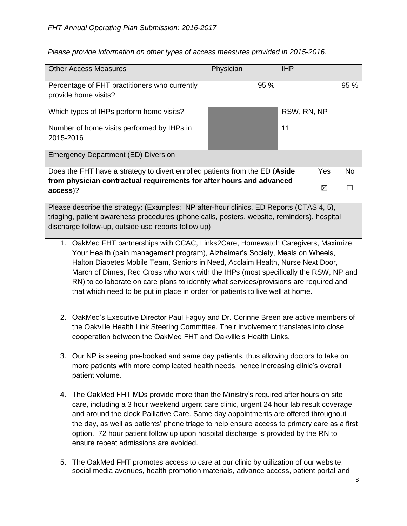| <b>Other Access Measures</b>                                                                                                                                                                                                                                                                                                                                                                                                                                                                                          |                                                                                                                                                                             | Physician | <b>IHP</b>  |     |           |  |  |
|-----------------------------------------------------------------------------------------------------------------------------------------------------------------------------------------------------------------------------------------------------------------------------------------------------------------------------------------------------------------------------------------------------------------------------------------------------------------------------------------------------------------------|-----------------------------------------------------------------------------------------------------------------------------------------------------------------------------|-----------|-------------|-----|-----------|--|--|
| Percentage of FHT practitioners who currently<br>provide home visits?                                                                                                                                                                                                                                                                                                                                                                                                                                                 |                                                                                                                                                                             | 95 %      |             |     | 95 %      |  |  |
| Which types of IHPs perform home visits?                                                                                                                                                                                                                                                                                                                                                                                                                                                                              |                                                                                                                                                                             |           | RSW, RN, NP |     |           |  |  |
| Number of home visits performed by IHPs in                                                                                                                                                                                                                                                                                                                                                                                                                                                                            |                                                                                                                                                                             |           | 11          |     |           |  |  |
| 2015-2016                                                                                                                                                                                                                                                                                                                                                                                                                                                                                                             |                                                                                                                                                                             |           |             |     |           |  |  |
| <b>Emergency Department (ED) Diversion</b>                                                                                                                                                                                                                                                                                                                                                                                                                                                                            |                                                                                                                                                                             |           |             |     |           |  |  |
| Does the FHT have a strategy to divert enrolled patients from the ED (Aside                                                                                                                                                                                                                                                                                                                                                                                                                                           |                                                                                                                                                                             |           |             | Yes | <b>No</b> |  |  |
| from physician contractual requirements for after hours and advanced<br>access)?                                                                                                                                                                                                                                                                                                                                                                                                                                      |                                                                                                                                                                             |           |             | ⊠   | $\Box$    |  |  |
| Please describe the strategy: (Examples: NP after-hour clinics, ED Reports (CTAS 4, 5),                                                                                                                                                                                                                                                                                                                                                                                                                               |                                                                                                                                                                             |           |             |     |           |  |  |
| triaging, patient awareness procedures (phone calls, posters, website, reminders), hospital<br>discharge follow-up, outside use reports follow up)                                                                                                                                                                                                                                                                                                                                                                    |                                                                                                                                                                             |           |             |     |           |  |  |
|                                                                                                                                                                                                                                                                                                                                                                                                                                                                                                                       |                                                                                                                                                                             |           |             |     |           |  |  |
| 1. OakMed FHT partnerships with CCAC, Links2Care, Homewatch Caregivers, Maximize<br>Your Health (pain management program), Alzheimer's Society, Meals on Wheels,<br>Halton Diabetes Mobile Team, Seniors in Need, Acclaim Health, Nurse Next Door,<br>March of Dimes, Red Cross who work with the IHPs (most specifically the RSW, NP and<br>RN) to collaborate on care plans to identify what services/provisions are required and<br>that which need to be put in place in order for patients to live well at home. |                                                                                                                                                                             |           |             |     |           |  |  |
| 2. OakMed's Executive Director Paul Faguy and Dr. Corinne Breen are active members of<br>the Oakville Health Link Steering Committee. Their involvement translates into close<br>cooperation between the OakMed FHT and Oakville's Health Links.                                                                                                                                                                                                                                                                      |                                                                                                                                                                             |           |             |     |           |  |  |
| 3. Our NP is seeing pre-booked and same day patients, thus allowing doctors to take on<br>more patients with more complicated health needs, hence increasing clinic's overall<br>patient volume.                                                                                                                                                                                                                                                                                                                      |                                                                                                                                                                             |           |             |     |           |  |  |
| The OakMed FHT MDs provide more than the Ministry's required after hours on site<br>4.<br>care, including a 3 hour weekend urgent care clinic, urgent 24 hour lab result coverage<br>and around the clock Palliative Care. Same day appointments are offered throughout<br>the day, as well as patients' phone triage to help ensure access to primary care as a first<br>option. 72 hour patient follow up upon hospital discharge is provided by the RN to<br>ensure repeat admissions are avoided.                 |                                                                                                                                                                             |           |             |     |           |  |  |
| 5.                                                                                                                                                                                                                                                                                                                                                                                                                                                                                                                    | The OakMed FHT promotes access to care at our clinic by utilization of our website,<br>social media avenues, health promotion materials, advance access, patient portal and |           |             |     |           |  |  |

*Please provide information on other types of access measures provided in 2015-2016.*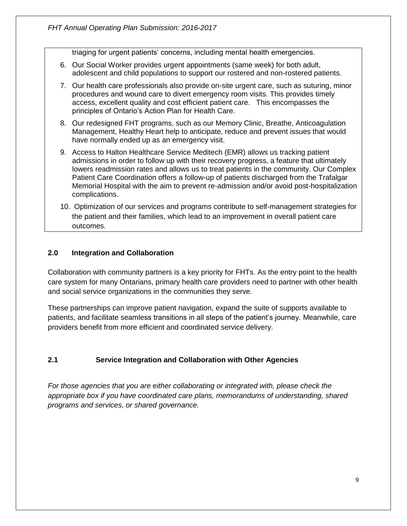triaging for urgent patients' concerns, including mental health emergencies.

- 6. Our Social Worker provides urgent appointments (same week) for both adult, adolescent and child populations to support our rostered and non-rostered patients.
- 7. Our health care professionals also provide on-site urgent care, such as suturing, minor procedures and wound care to divert emergency room visits. This provides timely access, excellent quality and cost efficient patient care. This encompasses the principles of Ontario's Action Plan for Health Care.
- 8. Our redesigned FHT programs, such as our Memory Clinic, Breathe, Anticoagulation Management, Healthy Heart help to anticipate, reduce and prevent issues that would have normally ended up as an emergency visit.
- 9. Access to Halton Healthcare Service Meditech (EMR) allows us tracking patient admissions in order to follow up with their recovery progress, a feature that ultimately lowers readmission rates and allows us to treat patients in the community. Our Complex Patient Care Coordination offers a follow-up of patients discharged from the Trafalgar Memorial Hospital with the aim to prevent re-admission and/or avoid post-hospitalization complications.
- 10. Optimization of our services and programs contribute to self-management strategies for the patient and their families, which lead to an improvement in overall patient care outcomes.

#### **2.0 Integration and Collaboration**

Collaboration with community partners is a key priority for FHTs. As the entry point to the health care system for many Ontarians, primary health care providers need to partner with other health and social service organizations in the communities they serve.

These partnerships can improve patient navigation, expand the suite of supports available to patients, and facilitate seamless transitions in all steps of the patient's journey. Meanwhile, care providers benefit from more efficient and coordinated service delivery.

#### **2.1 Service Integration and Collaboration with Other Agencies**

*For those agencies that you are either collaborating or integrated with, please check the appropriate box if you have coordinated care plans, memorandums of understanding, shared programs and services, or shared governance.*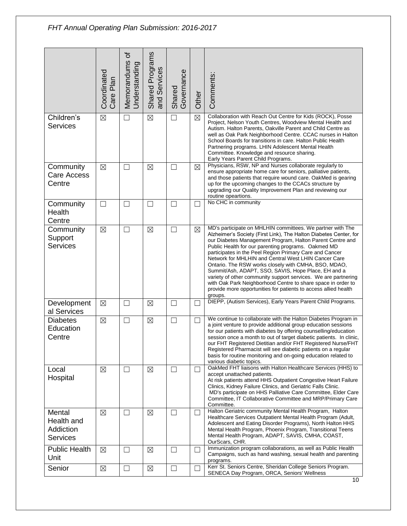|                                                      | Coordinated<br>Care Plan | ৳<br>Memorandums<br>Understanding | Shared Programs<br>and Services | Shared<br>Governance | Other       | Comments:                                                                                                                                                                                                                                                                                                                                                                                                                                                                                                                                                                                                                                                                                             |
|------------------------------------------------------|--------------------------|-----------------------------------|---------------------------------|----------------------|-------------|-------------------------------------------------------------------------------------------------------------------------------------------------------------------------------------------------------------------------------------------------------------------------------------------------------------------------------------------------------------------------------------------------------------------------------------------------------------------------------------------------------------------------------------------------------------------------------------------------------------------------------------------------------------------------------------------------------|
| Children's<br><b>Services</b>                        | $\boxtimes$              | П                                 | $\boxtimes$                     | $\Box$               | $\boxtimes$ | Collaboration with Reach Out Centre for Kids (ROCK), Posse<br>Project, Nelson Youth Centres, Woodview Mental Health and<br>Autism. Halton Parents, Oakville Parent and Child Centre as<br>well as Oak Park Neighborhood Centre. CCAC nurses in Halton<br>School Boards for transitions in care. Halton Public Health<br>Partnering programs. LHIN Adolescent Mental Health<br>Committee. Knowledge and resource sharing.<br>Early Years Parent Child Programs.                                                                                                                                                                                                                                        |
| Community<br><b>Care Access</b><br>Centre            | $\boxtimes$              | П                                 | $\boxtimes$                     | $\Box$               | ⊠           | Physicians, RSW, NP and Nurses collaborate regularly to<br>ensure appropriate home care for seniors, palliative patients,<br>and those patients that require wound care. OakMed is gearing<br>up for the upcoming changes to the CCACs structure by<br>upgrading our Quality Improvement Plan and reviewing our<br>routine opeartions.                                                                                                                                                                                                                                                                                                                                                                |
| Community<br>Health<br>Centre                        | $\Box$                   | $\vert \ \ \vert$                 | $\Box$                          | $\Box$               |             | No CHC in community                                                                                                                                                                                                                                                                                                                                                                                                                                                                                                                                                                                                                                                                                   |
| Community<br>Support<br><b>Services</b>              | $\boxtimes$              | $\Box$                            | $\boxtimes$                     | $\Box$               | $\boxtimes$ | MD's participate on MHLHIN committees. We partner with The<br>Alzheimer's Society (First Link), The Halton Diabetes Center, for<br>our Diabetes Management Program, Halton Parent Centre and<br>Public Health for our parenting programs. Oakmed MD<br>participates in the Peel Region Primary Care and Cancer<br>Network for MHLHIN and Central West LHIN Cancer Care<br>Ontario. The RSW works closely with CMHA, BSO, MDAO,<br>Summit/Ash, ADAPT, SSO, SAVIS, Hope Place, EH and a<br>variety of other community support services. We are partnering<br>with Oak Park Neighborhood Centre to share space in order to<br>provide more opportunities for patients to access allied health<br>groups. |
| Development<br>al Services                           | $\boxtimes$              | $\Box$                            | $\boxtimes$                     | □                    |             | DIEPP, (Autism Services), Early Years Parent Child Programs.                                                                                                                                                                                                                                                                                                                                                                                                                                                                                                                                                                                                                                          |
| <b>Diabetes</b><br>Education<br>Centre               | $\boxtimes$              | $\mathsf{L}$                      | $\boxtimes$                     | $\Box$               |             | We continue to collaborate with the Halton Diabetes Program in<br>a joint venture to provide additional group education sessions<br>for our patients with diabetes by offering counselling/education<br>session once a month to out of target diabetic patients. In clinic,<br>our FHT Registered Dietitian and/or FHT Registered Nurse/FHT<br>Registered Pharmacist will see diabetic patients on a regular<br>basis for routine monitoring and on-going education related to<br>various diabetic topics.                                                                                                                                                                                            |
| Local<br>Hospital                                    | $\boxtimes$              | $\Box$                            | $\boxtimes$                     | $\Box$               | $\Box$      | OakMed FHT liaisons with Halton Healthcare Services (HHS) to<br>accept unattached patients.<br>At risk patients attend HHS Outpatient Congestive Heart Failure<br>Clinics, Kidney Failure Clinics, and Geriatric Falls Clinic.<br>MD's participate on HHS Palliative Care Committee, Elder Care<br>Committee, IT Collaborative Committee and MRP/Primary Care<br>Committee.                                                                                                                                                                                                                                                                                                                           |
| Mental<br>Health and<br>Addiction<br><b>Services</b> | $\boxtimes$              | $\mathsf{L}$                      | $\boxtimes$                     | П                    |             | Halton Geriatric community Mental Health Program, Halton<br>Healthcare Services Outpatient Mental Health Program (Adult,<br>Adolescent and Eating Disorder Programs), North Halton HHS<br>Mental Health Program, Phoenix Program, Transitional Teens<br>Mental Health Program, ADAPT, SAVIS, CMHA, COAST,<br>OurScars, CHR.                                                                                                                                                                                                                                                                                                                                                                           |
| <b>Public Health</b><br>Unit                         | $\boxtimes$              | $\Box$                            | ⊠                               | $\Box$               | П           | Immunization program collaborations, as well as Public Health<br>Campaigns, such as hand washing, sexual health and parenting<br>programs.                                                                                                                                                                                                                                                                                                                                                                                                                                                                                                                                                            |
| Senior                                               | $\boxtimes$              | $\Box$                            | $\boxtimes$                     | $\Box$               |             | Kerr St. Seniors Centre, Sheridan College Seniors Program.<br>SENECA Day Program, ORCA, Seniors' Wellness                                                                                                                                                                                                                                                                                                                                                                                                                                                                                                                                                                                             |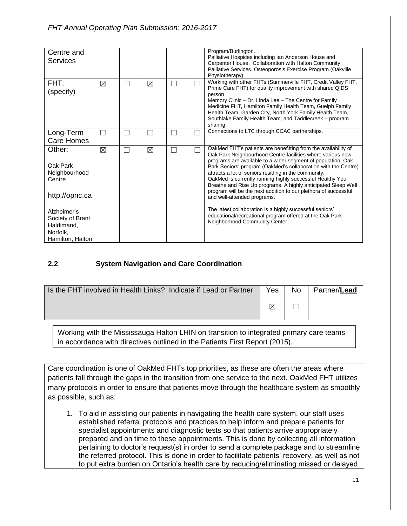| Centre and<br><b>Services</b>                                                  |             |        |             |   |   | Program/Burlington.<br>Palliative Hospices including Ian Anderson House and<br>Carpenter House. Collaboration with Halton Community<br>Palliative Services. Osteoporosis Exercise Program (Oakville<br>Physiotherapy).                                                                                                                                                                                                                                                                                                                                  |
|--------------------------------------------------------------------------------|-------------|--------|-------------|---|---|---------------------------------------------------------------------------------------------------------------------------------------------------------------------------------------------------------------------------------------------------------------------------------------------------------------------------------------------------------------------------------------------------------------------------------------------------------------------------------------------------------------------------------------------------------|
| FHT:<br>(specify)                                                              | $\boxtimes$ | $\Box$ | $\boxtimes$ | Г |   | Working with other FHTs (Summerville FHT, Credit Valley FHT,<br>Prime Care FHT) for quality improvement with shared QIDS<br>person<br>Memory Clinic - Dr. Linda Lee - The Centre for Family<br>Medicine FHT, Hamilton Family Health Team, Guelph Family<br>Health Team, Garden City, North York Family Health Team,<br>Southlake Family Health Team, and Taddlecreek - program<br>sharing.                                                                                                                                                              |
| Long-Term<br>Care Homes                                                        | Π           | П      | Г           | Г | □ | Connections to LTC through CCAC partnerships.                                                                                                                                                                                                                                                                                                                                                                                                                                                                                                           |
| Other:<br>Oak Park<br>Neighbourhood<br>Centre<br>http://opnc.ca                | $\boxtimes$ | $\Box$ | $\boxtimes$ |   | П | OakMed FHT's patients are benefitting from the availability of<br>Oak Park Neighbourhood Centre facilities where various new<br>programs are available to a wider segment of population. Oak<br>Park Seniors' program (OakMed's collaboration with the Centre)<br>attracts a lot of seniors residing in the community.<br>OakMed is currently running highly successful Healthy You,<br>Breathe and Rise Up programs. A highly anticipated Sleep Well<br>program will be the next addition to our plethora of successful<br>and well-attended programs. |
| Alzheimer's<br>Society of Brant,<br>Haldimand,<br>Norfolk,<br>Hamilton, Halton |             |        |             |   |   | The latest collaboration is a highly successful seniors'<br>educational/recreational program offered at the Oak Park<br>Neighborhood Community Center.                                                                                                                                                                                                                                                                                                                                                                                                  |

#### **2.2 System Navigation and Care Coordination**

| Is the FHT involved in Health Links? Indicate if Lead or Partner | Yes | <b>No</b> | Partner/Lead |
|------------------------------------------------------------------|-----|-----------|--------------|
|                                                                  | ⊠   |           |              |

Working with the Mississauga Halton LHIN on transition to integrated primary care teams in accordance with directives outlined in the Patients First Report (2015).

Care coordination is one of OakMed FHTs top priorities, as these are often the areas where patients fall through the gaps in the transition from one service to the next. OakMed FHT utilizes many protocols in order to ensure that patients move through the healthcare system as smoothly as possible, such as:

1. To aid in assisting our patients in navigating the health care system, our staff uses established referral protocols and practices to help inform and prepare patients for specialist appointments and diagnostic tests so that patients arrive appropriately prepared and on time to these appointments. This is done by collecting all information pertaining to doctor's request(s) in order to send a complete package and to streamline the referred protocol. This is done in order to facilitate patients' recovery, as well as not to put extra burden on Ontario's health care by reducing/eliminating missed or delayed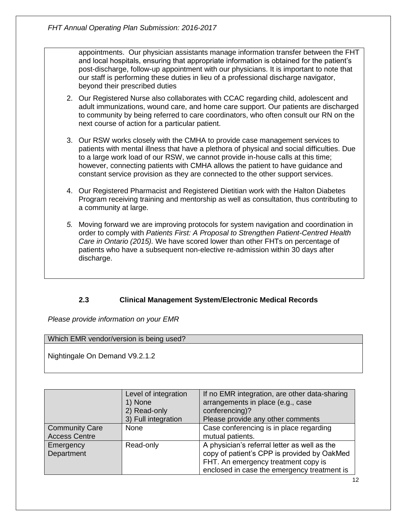appointments. Our physician assistants manage information transfer between the FHT and local hospitals, ensuring that appropriate information is obtained for the patient's post-discharge, follow-up appointment with our physicians. It is important to note that our staff is performing these duties in lieu of a professional discharge navigator, beyond their prescribed duties

- 2. Our Registered Nurse also collaborates with CCAC regarding child, adolescent and adult immunizations, wound care, and home care support. Our patients are discharged to community by being referred to care coordinators, who often consult our RN on the next course of action for a particular patient.
- 3. Our RSW works closely with the CMHA to provide case management services to patients with mental illness that have a plethora of physical and social difficulties. Due to a large work load of our RSW, we cannot provide in-house calls at this time; however, connecting patients with CMHA allows the patient to have guidance and constant service provision as they are connected to the other support services.
- 4. Our Registered Pharmacist and Registered Dietitian work with the Halton Diabetes Program receiving training and mentorship as well as consultation, thus contributing to a community at large.
- *5.* Moving forward we are improving protocols for system navigation and coordination in order to comply with *Patients First: A Proposal to Strengthen Patient-Centred Health Care in Ontario (2015).* We have scored lower than other FHTs on percentage of patients who have a subsequent non-elective re-admission within 30 days after discharge.

#### **2.3 Clinical Management System/Electronic Medical Records**

*Please provide information on your EMR*

#### Which EMR vendor/version is being used?

Nightingale On Demand V9.2.1.2

|                                               | Level of integration<br>1) None<br>2) Read-only<br>3) Full integration | If no EMR integration, are other data-sharing<br>arrangements in place (e.g., case<br>conferencing)?<br>Please provide any other comments                                         |
|-----------------------------------------------|------------------------------------------------------------------------|-----------------------------------------------------------------------------------------------------------------------------------------------------------------------------------|
| <b>Community Care</b><br><b>Access Centre</b> | None                                                                   | Case conferencing is in place regarding<br>mutual patients.                                                                                                                       |
| Emergency<br>Department                       | Read-only                                                              | A physician's referral letter as well as the<br>copy of patient's CPP is provided by OakMed<br>FHT. An emergency treatment copy is<br>enclosed in case the emergency treatment is |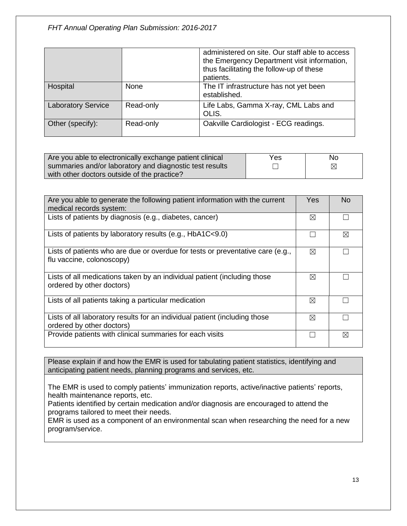|                           |           | administered on site. Our staff able to access<br>the Emergency Department visit information,<br>thus facilitating the follow-up of these<br>patients. |
|---------------------------|-----------|--------------------------------------------------------------------------------------------------------------------------------------------------------|
| Hospital                  | None      | The IT infrastructure has not yet been<br>established.                                                                                                 |
| <b>Laboratory Service</b> | Read-only | Life Labs, Gamma X-ray, CML Labs and<br>OLIS.                                                                                                          |
| Other (specify):          | Read-only | Oakville Cardiologist - ECG readings.                                                                                                                  |

| Are you able to electronically exchange patient clinical | Yes | No |
|----------------------------------------------------------|-----|----|
| summaries and/or laboratory and diagnostic test results  |     | ⊠  |
| with other doctors outside of the practice?              |     |    |

| Are you able to generate the following patient information with the current<br>medical records system:      |   | N <sub>o</sub> |
|-------------------------------------------------------------------------------------------------------------|---|----------------|
| Lists of patients by diagnosis (e.g., diabetes, cancer)                                                     | ⊠ |                |
| Lists of patients by laboratory results (e.g., $HbA1C<9.0$ )                                                |   | ⊠              |
| Lists of patients who are due or overdue for tests or preventative care (e.g.,<br>flu vaccine, colonoscopy) | ⊠ |                |
| Lists of all medications taken by an individual patient (including those<br>ordered by other doctors)       | ⊠ |                |
| Lists of all patients taking a particular medication                                                        | ⊠ |                |
| Lists of all laboratory results for an individual patient (including those<br>ordered by other doctors)     | ⊠ |                |
| Provide patients with clinical summaries for each visits                                                    |   | IX             |

Please explain if and how the EMR is used for tabulating patient statistics, identifying and anticipating patient needs, planning programs and services, etc.

The EMR is used to comply patients' immunization reports, active/inactive patients' reports, health maintenance reports, etc.

Patients identified by certain medication and/or diagnosis are encouraged to attend the programs tailored to meet their needs.

EMR is used as a component of an environmental scan when researching the need for a new program/service.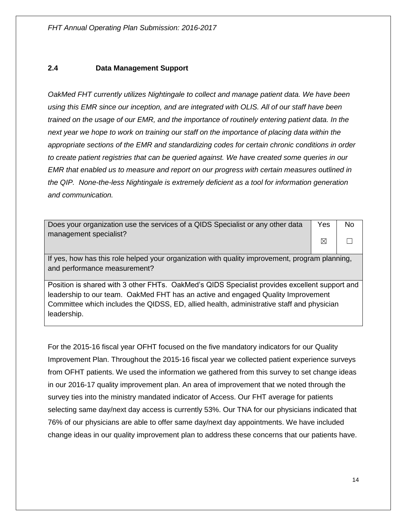#### **2.4 Data Management Support**

*OakMed FHT currently utilizes Nightingale to collect and manage patient data. We have been using this EMR since our inception, and are integrated with OLIS. All of our staff have been trained on the usage of our EMR, and the importance of routinely entering patient data. In the next year we hope to work on training our staff on the importance of placing data within the appropriate sections of the EMR and standardizing codes for certain chronic conditions in order to create patient registries that can be queried against. We have created some queries in our EMR that enabled us to measure and report on our progress with certain measures outlined in the QIP. None-the-less Nightingale is extremely deficient as a tool for information generation and communication.*

| Does your organization use the services of a QIDS Specialist or any other data                 |   | No. |
|------------------------------------------------------------------------------------------------|---|-----|
| management specialist?                                                                         |   |     |
|                                                                                                | ⊠ |     |
|                                                                                                |   |     |
| If yes, how has this role helped your organization with quality improvement, program planning, |   |     |
| and performance measurement?                                                                   |   |     |
|                                                                                                |   |     |
| Position is shared with 3 other FHTs. OakMed's QIDS Specialist provides excellent support and  |   |     |
| leadership to our team. OakMed FHT has an active and engaged Quality Improvement               |   |     |
| Committee which includes the QIDSS, ED, allied health, administrative staff and physician      |   |     |
| leadership.                                                                                    |   |     |
|                                                                                                |   |     |

For the 2015-16 fiscal year OFHT focused on the five mandatory indicators for our Quality Improvement Plan. Throughout the 2015-16 fiscal year we collected patient experience surveys from OFHT patients. We used the information we gathered from this survey to set change ideas in our 2016-17 quality improvement plan. An area of improvement that we noted through the survey ties into the ministry mandated indicator of Access. Our FHT average for patients selecting same day/next day access is currently 53%. Our TNA for our physicians indicated that 76% of our physicians are able to offer same day/next day appointments. We have included change ideas in our quality improvement plan to address these concerns that our patients have.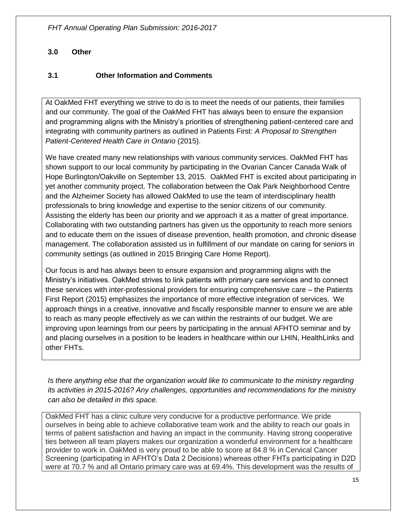#### **3.0 Other**

#### **3.1 Other Information and Comments**

At OakMed FHT everything we strive to do is to meet the needs of our patients, their families and our community. The goal of the OakMed FHT has always been to ensure the expansion and programming aligns with the Ministry's priorities of strengthening patient-centered care and integrating with community partners as outlined in Patients First: *A Proposal to Strengthen Patient-Centered Health Care in Ontario* (2015).

We have created many new relationships with various community services. OakMed FHT has shown support to our local community by participating in the Ovarian Cancer Canada Walk of Hope Burlington/Oakville on September 13, 2015. OakMed FHT is excited about participating in yet another community project. The collaboration between the Oak Park Neighborhood Centre and the Alzheimer Society has allowed OakMed to use the team of interdisciplinary health professionals to bring knowledge and expertise to the senior citizens of our community. Assisting the elderly has been our priority and we approach it as a matter of great importance. Collaborating with two outstanding partners has given us the opportunity to reach more seniors and to educate them on the issues of disease prevention, health promotion, and chronic disease management. The collaboration assisted us in fulfillment of our mandate on caring for seniors in community settings (as outlined in 2015 Bringing Care Home Report).

Our focus is and has always been to ensure expansion and programming aligns with the Ministry's initiatives. OakMed strives to link patients with primary care services and to connect these services with inter-professional providers for ensuring comprehensive care – the Patients First Report (2015) emphasizes the importance of more effective integration of services. We approach things in a creative, innovative and fiscally responsible manner to ensure we are able to reach as many people effectively as we can within the restraints of our budget. We are improving upon learnings from our peers by participating in the annual AFHTO seminar and by and placing ourselves in a position to be leaders in healthcare within our LHIN, HealthLinks and other FHTs.

*Is there anything else that the organization would like to communicate to the ministry regarding its activities in 2015-2016? Any challenges, opportunities and recommendations for the ministry can also be detailed in this space.*

OakMed FHT has a clinic culture very conducive for a productive performance. We pride ourselves in being able to achieve collaborative team work and the ability to reach our goals in terms of patient satisfaction and having an impact in the community. Having strong cooperative ties between all team players makes our organization a wonderful environment for a healthcare provider to work in. OakMed is very proud to be able to score at 84.8 % in Cervical Cancer Screening (participating in AFHTO's Data 2 Decisions) whereas other FHTs participating in D2D were at 70.7 % and all Ontario primary care was at 69.4%. This development was the results of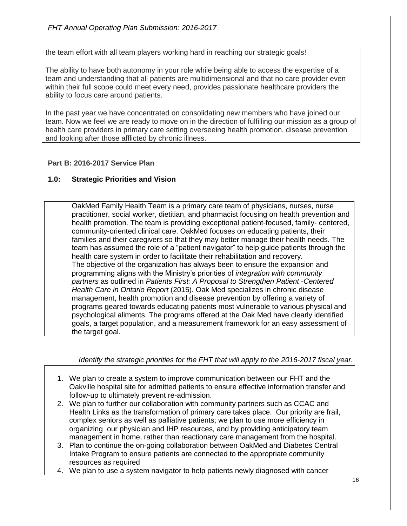#### *FHT Annual Operating Plan Submission: 2016-2017*

the team effort with all team players working hard in reaching our strategic goals!

The ability to have both autonomy in your role while being able to access the expertise of a team and understanding that all patients are multidimensional and that no care provider even within their full scope could meet every need, provides passionate healthcare providers the ability to focus care around patients.

In the past year we have concentrated on consolidating new members who have joined our team. Now we feel we are ready to move on in the direction of fulfilling our mission as a group of health care providers in primary care setting overseeing health promotion, disease prevention and looking after those afflicted by chronic illness.

#### **Part B: 2016-2017 Service Plan**

#### **1.0: Strategic Priorities and Vision**

OakMed Family Health Team is a primary care team of physicians, nurses, nurse practitioner, social worker, dietitian, and pharmacist focusing on health prevention and health promotion. The team is providing exceptional patient-focused, family- centered, community-oriented clinical care. OakMed focuses on educating patients, their families and their caregivers so that they may better manage their health needs. The team has assumed the role of a "patient navigator" to help guide patients through the health care system in order to facilitate their rehabilitation and recovery. The objective of the organization has always been to ensure the expansion and programming aligns with the Ministry's priorities of *integration with community partners* as outlined in *Patients First: A Proposal to Strengthen Patient -Centered Health Care in Ontario Report* (2015). Oak Med specializes in chronic disease management, health promotion and disease prevention by offering a variety of programs geared towards educating patients most vulnerable to various physical and psychological aliments. The programs offered at the Oak Med have clearly identified goals, a target population, and a measurement framework for an easy assessment of the target goal.

*Identify the strategic priorities for the FHT that will apply to the 2016-2017 fiscal year.* 

- 1. We plan to create a system to improve communication between our FHT and the Oakville hospital site for admitted patients to ensure effective information transfer and follow-up to ultimately prevent re-admission.
- 2. We plan to further our collaboration with community partners such as CCAC and Health Links as the transformation of primary care takes place. Our priority are frail, complex seniors as well as palliative patients; we plan to use more efficiency in organizing our physician and IHP resources, and by providing anticipatory team management in home, rather than reactionary care management from the hospital.
- 3. Plan to continue the on-going collaboration between OakMed and Diabetes Central Intake Program to ensure patients are connected to the appropriate community resources as required
- 4. We plan to use a system navigator to help patients newly diagnosed with cancer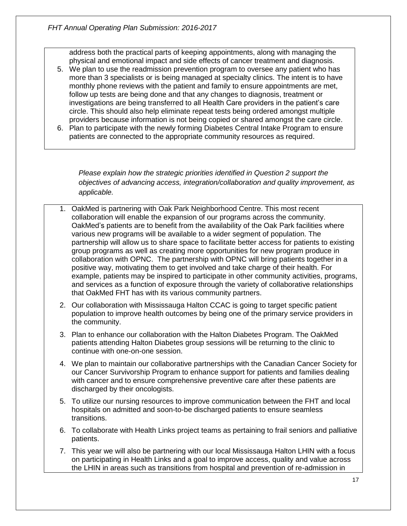address both the practical parts of keeping appointments, along with managing the physical and emotional impact and side effects of cancer treatment and diagnosis.

- 5. We plan to use the readmission prevention program to oversee any patient who has more than 3 specialists or is being managed at specialty clinics. The intent is to have monthly phone reviews with the patient and family to ensure appointments are met, follow up tests are being done and that any changes to diagnosis, treatment or investigations are being transferred to all Health Care providers in the patient's care circle. This should also help eliminate repeat tests being ordered amongst multiple providers because information is not being copied or shared amongst the care circle.
- 6. Plan to participate with the newly forming Diabetes Central Intake Program to ensure patients are connected to the appropriate community resources as required.

*Please explain how the strategic priorities identified in Question 2 support the objectives of advancing access, integration/collaboration and quality improvement, as applicable.*

- 1. OakMed is partnering with Oak Park Neighborhood Centre. This most recent collaboration will enable the expansion of our programs across the community. OakMed's patients are to benefit from the availability of the Oak Park facilities where various new programs will be available to a wider segment of population. The partnership will allow us to share space to facilitate better access for patients to existing group programs as well as creating more opportunities for new program produce in collaboration with OPNC. The partnership with OPNC will bring patients together in a positive way, motivating them to get involved and take charge of their health. For example, patients may be inspired to participate in other community activities, programs, and services as a function of exposure through the variety of collaborative relationships that OakMed FHT has with its various community partners.
- 2. Our collaboration with Mississauga Halton CCAC is going to target specific patient population to improve health outcomes by being one of the primary service providers in the community.
- 3. Plan to enhance our collaboration with the Halton Diabetes Program. The OakMed patients attending Halton Diabetes group sessions will be returning to the clinic to continue with one-on-one session.
- 4. We plan to maintain our collaborative partnerships with the Canadian Cancer Society for our Cancer Survivorship Program to enhance support for patients and families dealing with cancer and to ensure comprehensive preventive care after these patients are discharged by their oncologists.
- 5. To utilize our nursing resources to improve communication between the FHT and local hospitals on admitted and soon-to-be discharged patients to ensure seamless transitions.
- 6. To collaborate with Health Links project teams as pertaining to frail seniors and palliative patients.
- 7. This year we will also be partnering with our local Mississauga Halton LHIN with a focus on participating in Health Links and a goal to improve access, quality and value across the LHIN in areas such as transitions from hospital and prevention of re-admission in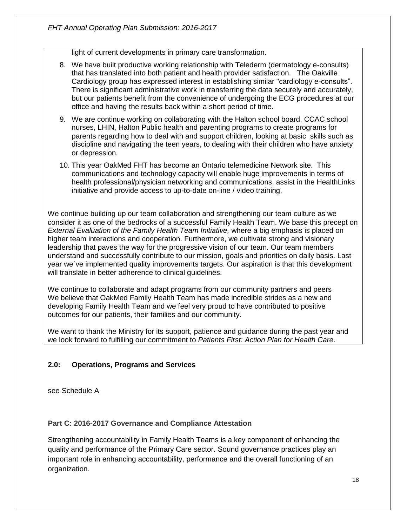light of current developments in primary care transformation.

- 8. We have built productive working relationship with Telederm (dermatology e-consults) that has translated into both patient and health provider satisfaction. The Oakville Cardiology group has expressed interest in establishing similar "cardiology e-consults". There is significant administrative work in transferring the data securely and accurately, but our patients benefit from the convenience of undergoing the ECG procedures at our office and having the results back within a short period of time.
- 9. We are continue working on collaborating with the Halton school board, CCAC school nurses, LHIN, Halton Public health and parenting programs to create programs for parents regarding how to deal with and support children, looking at basic skills such as discipline and navigating the teen years, to dealing with their children who have anxiety or depression.
- 10. This year OakMed FHT has become an Ontario telemedicine Network site. This communications and technology capacity will enable huge improvements in terms of health professional/physician networking and communications, assist in the HealthLinks initiative and provide access to up-to-date on-line / video training.

We continue building up our team collaboration and strengthening our team culture as we consider it as one of the bedrocks of a successful Family Health Team. We base this precept on *External Evaluation of the Family Health Team Initiative,* where a big emphasis is placed on higher team interactions and cooperation. Furthermore, we cultivate strong and visionary leadership that paves the way for the progressive vision of our team. Our team members understand and successfully contribute to our mission, goals and priorities on daily basis. Last year we`ve implemented quality improvements targets. Our aspiration is that this development will translate in better adherence to clinical guidelines.

We continue to collaborate and adapt programs from our community partners and peers We believe that OakMed Family Health Team has made incredible strides as a new and developing Family Health Team and we feel very proud to have contributed to positive outcomes for our patients, their families and our community.

We want to thank the Ministry for its support, patience and guidance during the past year and we look forward to fulfilling our commitment to *Patients First: Action Plan for Health Care*.

#### **2.0: Operations, Programs and Services**

see Schedule A

#### **Part C: 2016-2017 Governance and Compliance Attestation**

Strengthening accountability in Family Health Teams is a key component of enhancing the quality and performance of the Primary Care sector. Sound governance practices play an important role in enhancing accountability, performance and the overall functioning of an organization.